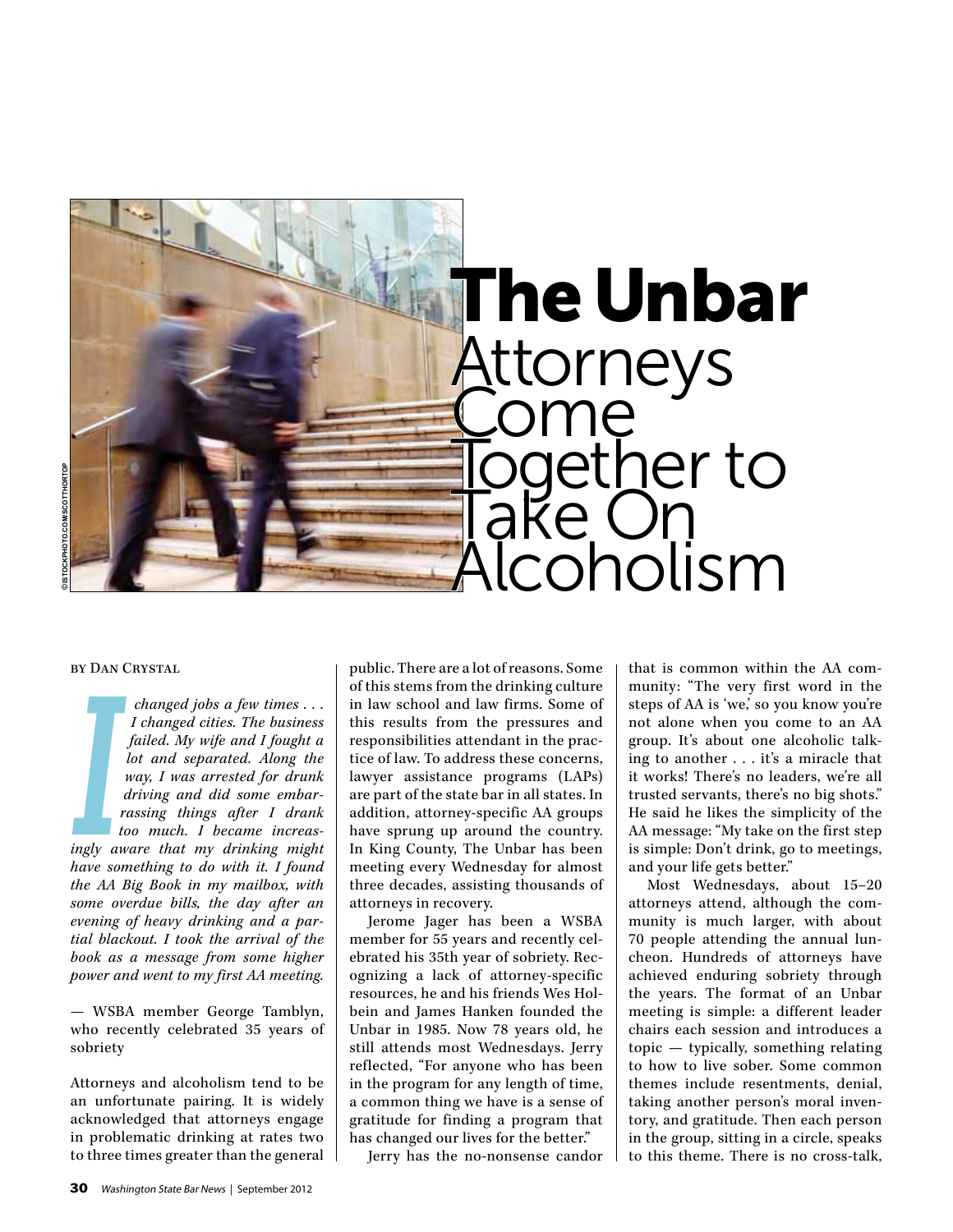

#### by Dan Crystal

*changed jobs a few times . . . I changed cities. The business failed. My wife and I fought a lot and separated. Along the way, I was arrested for drunk driving and did some embarrassing things after I drank too much. I became increasingly aware that my drinking might have something to do with it. I found the AA Big Book in my mailbox, with some overdue bills, the day after an evening of heavy drinking and a partial blackout. I took the arrival of the book as a message from some higher power and went to my first AA meeting.*   $\begin{bmatrix} 1 \\ 1 \\ 2 \\ 3 \\ 4 \\ 1 \end{bmatrix}$ 

— WSBA member George Tamblyn, who recently celebrated 35 years of sobriety

Attorneys and alcoholism tend to be an unfortunate pairing. It is widely acknowledged that attorneys engage in problematic drinking at rates two to three times greater than the general public. There are a lot of reasons. Some of this stems from the drinking culture in law school and law firms. Some of this results from the pressures and responsibilities attendant in the practice of law. To address these concerns, lawyer assistance programs (LAPs) are part of the state bar in all states. In addition, attorney-specific AA groups have sprung up around the country. In King County, The Unbar has been meeting every Wednesday for almost three decades, assisting thousands of attorneys in recovery.

Jerome Jager has been a WSBA member for 55 years and recently celebrated his 35th year of sobriety. Recognizing a lack of attorney-specific resources, he and his friends Wes Holbein and James Hanken founded the Unbar in 1985. Now 78 years old, he still attends most Wednesdays. Jerry reflected, "For anyone who has been in the program for any length of time, a common thing we have is a sense of gratitude for finding a program that has changed our lives for the better."

Jerry has the no-nonsense candor

that is common within the AA community: "The very first word in the steps of AA is 'we,' so you know you're not alone when you come to an AA group. It's about one alcoholic talking to another . . . it's a miracle that it works! There's no leaders, we're all trusted servants, there's no big shots." He said he likes the simplicity of the AA message: "My take on the first step is simple: Don't drink, go to meetings, and your life gets better."

Most Wednesdays, about 15–20 attorneys attend, although the community is much larger, with about 70 people attending the annual luncheon. Hundreds of attorneys have achieved enduring sobriety through the years. The format of an Unbar meeting is simple: a different leader chairs each session and introduces a topic — typically, something relating to how to live sober. Some common themes include resentments, denial, taking another person's moral inventory, and gratitude. Then each person in the group, sitting in a circle, speaks to this theme. There is no cross-talk,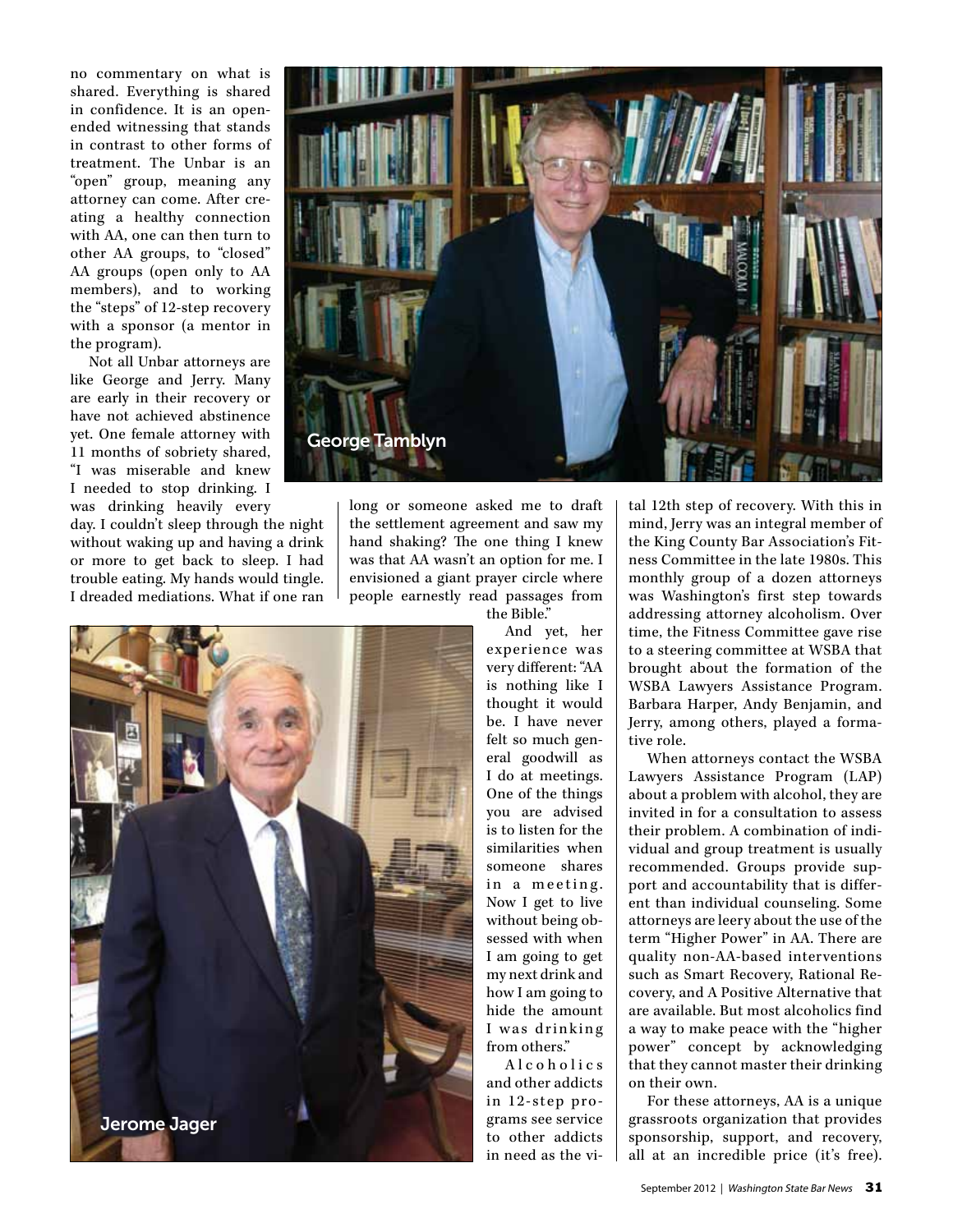no commentary on what is shared. Everything is shared in confidence. It is an openended witnessing that stands in contrast to other forms of treatment. The Unbar is an "open" group, meaning any attorney can come. After creating a healthy connection with AA, one can then turn to other AA groups, to "closed" AA groups (open only to AA members), and to working the "steps" of 12-step recovery with a sponsor (a mentor in the program).

Not all Unbar attorneys are like George and Jerry. Many are early in their recovery or have not achieved abstinence yet. One female attorney with 11 months of sobriety shared, "I was miserable and knew I needed to stop drinking. I was drinking heavily every

day. I couldn't sleep through the night without waking up and having a drink or more to get back to sleep. I had trouble eating. My hands would tingle. I dreaded mediations. What if one ran



long or someone asked me to draft the settlement agreement and saw my hand shaking? The one thing I knew was that AA wasn't an option for me. I envisioned a giant prayer circle where people earnestly read passages from

the Bible."

And yet, her experience was very different: "AA is nothing like I thought it would be. I have never felt so much general goodwill as I do at meetings. One of the things you are advised is to listen for the similarities when someone shares in a meeting. Now I get to live without being obsessed with when I am going to get my next drink and how I am going to hide the amount I was drinking from others."

A l c o h o l i c s and other addicts in 12-step programs see service to other addicts in need as the vital 12th step of recovery. With this in mind, Jerry was an integral member of the King County Bar Association's Fitness Committee in the late 1980s. This monthly group of a dozen attorneys was Washington's first step towards addressing attorney alcoholism. Over time, the Fitness Committee gave rise to a steering committee at WSBA that brought about the formation of the WSBA Lawyers Assistance Program. Barbara Harper, Andy Benjamin, and Jerry, among others, played a formative role.

When attorneys contact the WSBA Lawyers Assistance Program (LAP) about a problem with alcohol, they are invited in for a consultation to assess their problem. A combination of individual and group treatment is usually recommended. Groups provide support and accountability that is different than individual counseling. Some attorneys are leery about the use of the term "Higher Power" in AA. There are quality non-AA-based interventions such as Smart Recovery, Rational Recovery, and A Positive Alternative that are available. But most alcoholics find a way to make peace with the "higher power" concept by acknowledging that they cannot master their drinking on their own.

For these attorneys, AA is a unique grassroots organization that provides sponsorship, support, and recovery, all at an incredible price (it's free).

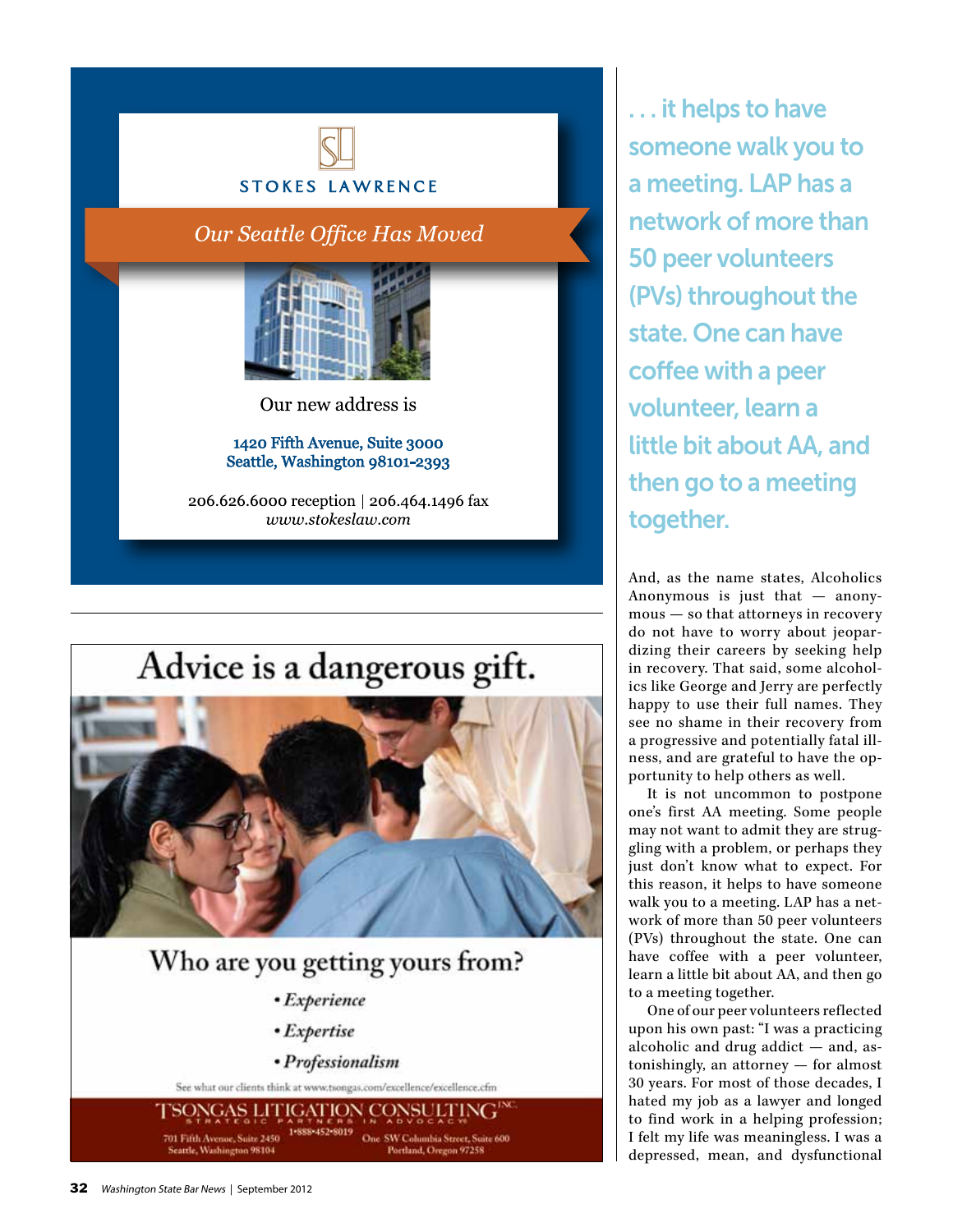

### Our Seattle Office Has Moved



Our new address is

### 1420 Fifth Avenue, Suite 3000 Seattle, Washington 98101-2393

206.626.6000 reception | 206.464.1496 fax www.stokeslaw.com

# Advice is a dangerous gift.



## Who are you getting yours from?

- Experience
- Expertise
- Professionalism

See what our clients think at www.tsongas.com/excellence/excellence.cfm

FSONGAS LITIGATION CONSULTING 701 Fifth Avenue, Suite 2450 One SW Columbia Street, Suite 600 Portland, Oregon 97258

. . . it helps to have someone walk you to a meeting. LAP has a network of more than 50 peer volunteers (PVs) throughout the state. One can have coffee with a peer volunteer, learn a little bit about AA, and then go to a meeting together.

And, as the name states, Alcoholics Anonymous is just that — anony mous — so that attorneys in recovery do not have to worry about jeopar dizing their careers by seeking help in recovery. That said, some alcohol ics like George and Jerry are perfectly happy to use their full names. They see no shame in their recovery from a progressive and potentially fatal ill ness, and are grateful to have the op portunity to help others as well.

It is not uncommon to postpone one's first AA meeting. Some people may not want to admit they are strug gling with a problem, or perhaps they just don't know what to expect. For this reason, it helps to have someone walk you to a meeting. LAP has a net work of more than 50 peer volunteers (PVs) throughout the state. One can have coffee with a peer volunteer, learn a little bit about AA, and then go to a meeting together.

One of our peer volunteers reflected upon his own past: "I was a practicing alcoholic and drug addict — and, as tonishingly, an attorney — for almost 30 years. For most of those decades, I hated my job as a lawyer and longed to find work in a helping profession; I felt my life was meaningless. I was a depressed, mean, and dysfunctional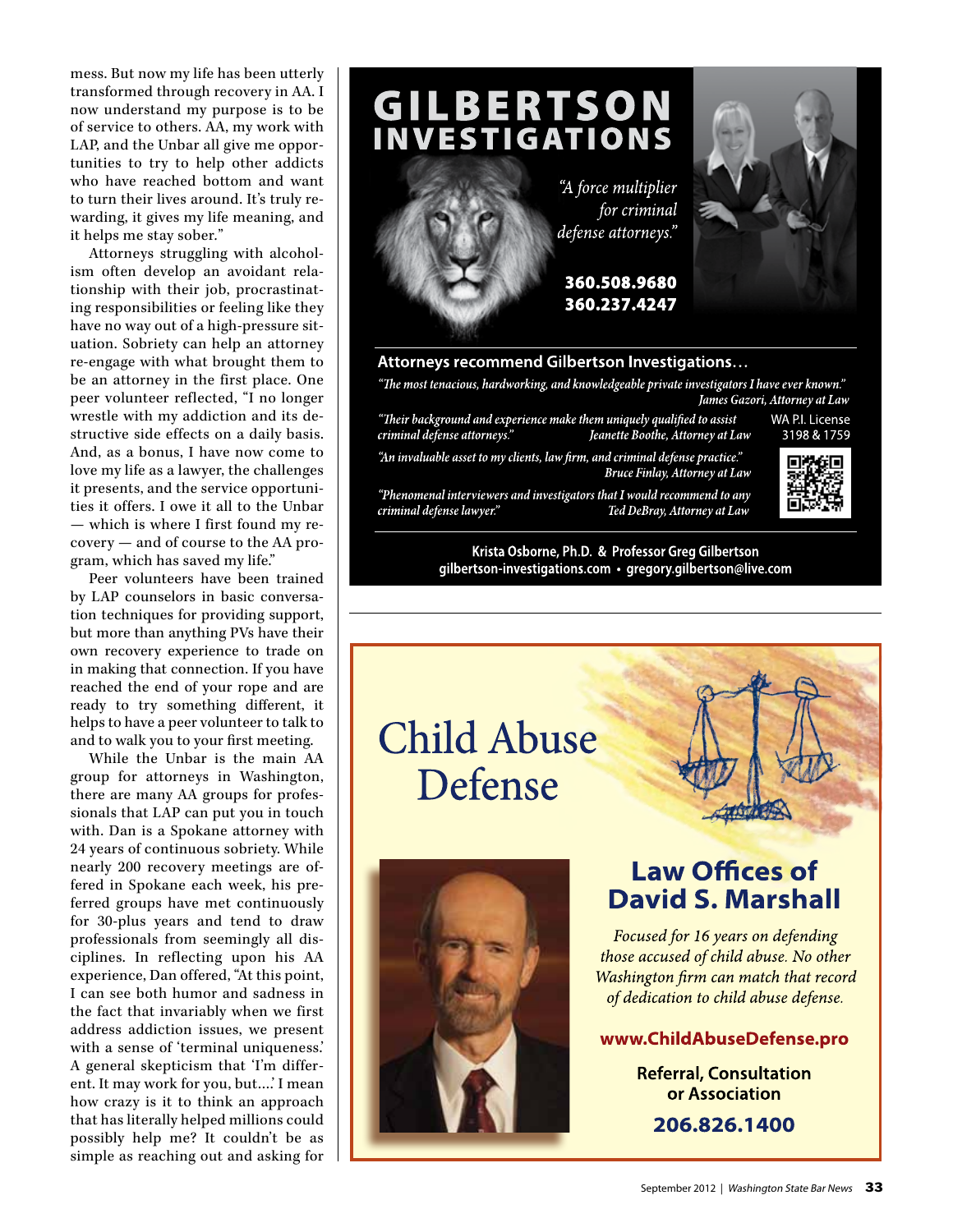mess. But now my life has been utterly transformed through recovery in AA. I now understand my purpose is to be of service to others. AA, my work with LAP, and the Unbar all give me oppor tunities to try to help other addicts who have reached bottom and want to turn their lives around. It's truly re warding, it gives my life meaning, and it helps me stay sober " *.*

Attorneys struggling with alcohol ism often develop an avoidant rela tionship with their job, procrastinat ing responsibilities or feeling like they have no way out of a high-pressure sit uation. Sobriety can help an attorney re-engage with what brought them to be an attorney in the first place. One peer volunteer reflected, "I no longer wrestle with my addiction and its de structive side effects on a daily basis. And, as a bonus, I have now come to love my life as a lawyer, the challenges it presents, and the service opportuni ties it offers. I owe it all to the Unbar — which is where I first found my re covery — and of course to the AA pro gram, which has saved my life."

Peer volunteers have been trained by LAP counselors in basic conversa tion techniques for providing support, but more than anything PVs have their own recovery experience to trade on in making that connection. If you have reached the end of your rope and are ready to try something different, it helps to have a peer volunteer to talk to and to walk you to your first meeting.

While the Unbar is the main AA group for attorneys in Washington, there are many AA groups for profes sionals that LAP can put you in touch with. Dan is a Spokane attorney with 24 years of continuous sobriety. While nearly 200 recovery meetings are offered in Spokane each week, his preferred groups have met continuously for 30-plus years and tend to draw professionals from seemingly all dis ciplines. In reflecting upon his AA experience, Dan offered, "At this point, I can see both humor and sadness in the fact that invariably when we first address addiction issues, we present with a sense of 'terminal uniqueness.' A general skepticism that 'I'm differ ent. It may work for you, but….' I mean how crazy is it to think an approach that has literally helped millions could possibly help me? It couldn't be as simple as reaching out and asking for



### Attorneys recommend Gilbertson Investigations...

"The most tenacious, hardworking, and knowledgeable private investigators I have ever known." James Gazori, Attorney at Law

"Their background and experience make them uniquely qualified to assist criminal defense attorneys." Jeanette Boothe, Attorney at Law

WA P.I. License 3198 & 1759

"An invaluable asset to my clients, law firm, and criminal defense practice." **Bruce Finlay, Attorney at Law** "Phenomenal interviewers and investigators that I would recommend to any criminal defense lawyer." Ted DeBray, Attorney at Law



#### Krista Osborne, Ph.D. & Professor Greg Gilbertson gilbertson-investigations.com · gregory.gilbertson@live.com





### **Law Offices of David S. Marshall**

Focused for 16 years on defending those accused of child abuse. No other Washington firm can match that record of dedication to child abuse defense.

### www.ChildAbuseDefense.pro

**Referral, Consultation** or Association

206.826.1400